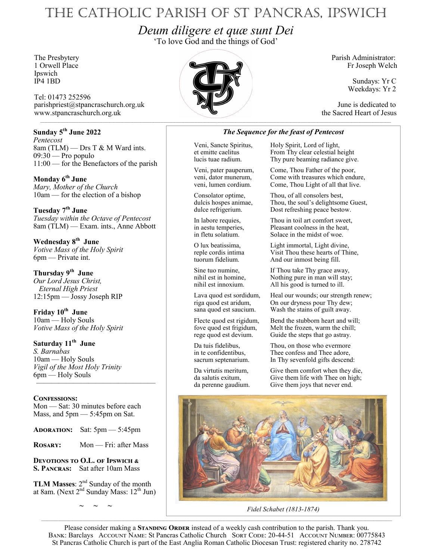# The Catholic Parish of St Pancras, Ipswich

*Deum diligere et quæ sunt Dei*

'To love God and the things of God'

Ipswich<br>IP4 1BD

Tel: 01473 252596 parishpriest@stpancraschurch.org.uk June is dedicated to www.stpancraschurch.org.uk the Sacred Heart of Jesus

## **Sunday 5th June 2022**

*Pentecost* 8am (TLM) — Drs T & M Ward ints. 09:30 — Pro populo 11:00 — for the Benefactors of the parish

**Monday 6th June** *Mary, Mother of the Church* 10am — for the election of a bishop

**Tuesday 7th June** *Tuesday within the Octave of Pentecost* 8am (TLM) — Exam. ints., Anne Abbott

**Wednesday 8th June** *Votive Mass of the Holy Spirit* 6pm — Private int.

**Thursday 9th June** *Our Lord Jesus Christ, Eternal High Priest* 12:15pm — Jossy Joseph RIP

**Friday 10th June** 10am — Holy Souls *Votive Mass of the Holy Spirit*

**Saturday 11th June** *S. Barnabas* 10am — Holy Souls *Vigil of the Most Holy Trinity* 6pm — Holy Souls ————————————————

## **Confessions:**

Mon — Sat: 30 minutes before each Mass, and 5pm — 5:45pm on Sat.

**Adoration:** Sat: 5pm — 5:45pm

**Rosary:** Mon — Fri: after Mass

**Devotions to O.L. of Ipswich & S. Pancras:** Sat after 10am Mass

**TLM Masses:** 2<sup>nd</sup> Sunday of the month at 8am. (Next  $2<sup>nd</sup>$  Sunday Mass:  $12<sup>th</sup>$  Jun)

*~ ~ ~*



Fr Joseph Welch

Sundays: Yr C Weekdays: Yr 2

## *The Sequence for the feast of Pentecost*

Veni, Sancte Spiritus, Holy Spirit, Lord of light, et emitte caelitus From Thy clear celestial h et emitte caelitus From Thy clear celestial height<br>lucis tuae radium. Thy pure beaming radiance give Thy pure beaming radiance give.

Veni, pater pauperum, Come, Thou Father of the poor, Come with treasures which endure, veni, lumen cordium. Come, Thou Light of all that live.

Consolator optime, Thou, of all consolers best, dulcis hospes animae, Thou, the soul's delightsome Guest, dulce refrigerium. Dost refreshing peace bestow. Dost refreshing peace bestow.

In labore requies, Thou in toil art comfort sweet, in aestu temperies, Pleasant coolness in the heat, in fletu solatium. Solace in the midst of woe.

O lux beatissima, Light immortal, Light divine, reple cordis intima<br>
Visit Thou these hearts of Thine,<br>
tuorum fidelium.<br>
And our inmost being fill. And our inmost being fill.

Sine tuo numine, If Thou take Thy grace away, nihil est in homine, Nothing pure in man will stay; nihil est innoxium. All his good is turned to ill.

Lava quod est sordidum, Heal our wounds; our strength renew;<br>riga quod est aridum, On our dryness pour Thy dew; riga quod est aridum, On our dryness pour Thy dew;<br>sana quod est saucium. Wash the stains of guilt away. Wash the stains of guilt away.

Flecte quod est rigidum, Bend the stubborn heart and will; fove quod est frigidum, Melt the frozen, warm the chill; rege quod est devium. Guide the steps that go astray.

Da tuis fidelibus, Thou, on those who evermore<br>in te confidentibus, Thee confess and Thee adore, Thee confess and Thee adore, sacrum septenarium. In Thy sevenfold gifts descend:

Da virtutis meritum, Give them comfort when they die, da salutis exitum, Give them life with Thee on high; da perenne gaudium. Give them joys that never end.



*Fidel Schabet (1813-1874)* 

Please consider making a **STANDING ORDER** instead of a weekly cash contribution to the parish. Thank you. BANK: Barclays ACCOUNT NAME: St Pancras Catholic Church SORT CODE: 20-44-51 ACCOUNT NUMBER: 00775843 St Pancras Catholic Church is part of the East Anglia Roman Catholic Diocesan Trust: registered charity no. 278742